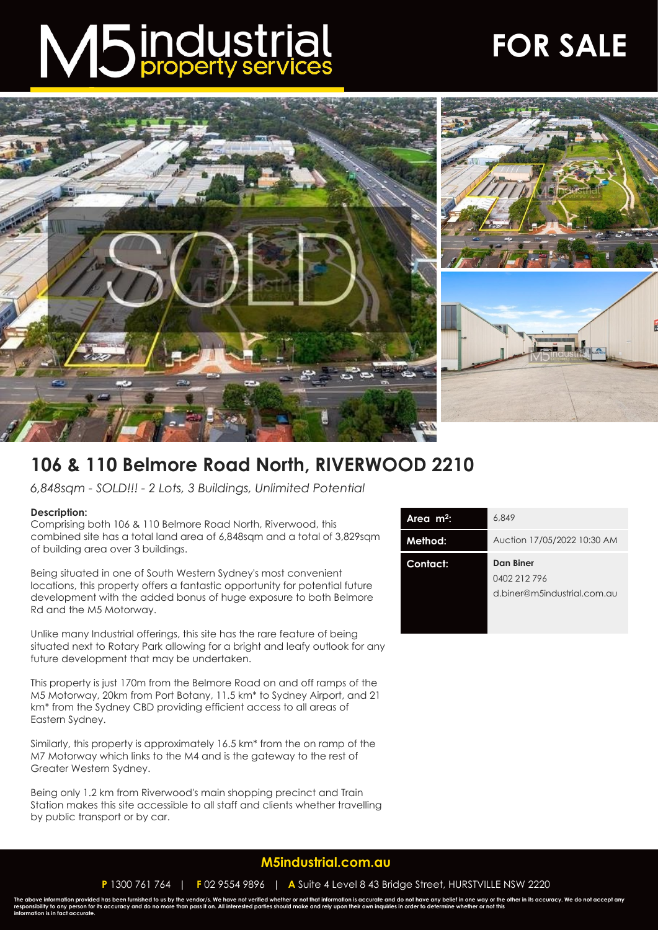# M5 industrial

## **FOR SALE**



### **106 & 110 Belmore Road North, RIVERWOOD 2210**

*6,848sqm - SOLD!!! - 2 Lots, 3 Buildings, Unlimited Potential*

#### **Description:**

Comprising both 106 & 110 Belmore Road North, Riverwood, this combined site has a total land area of 6,848sqm and a total of 3,829sqm of building area over 3 buildings.

Being situated in one of South Western Sydney's most convenient locations, this property offers a fantastic opportunity for potential future development with the added bonus of huge exposure to both Belmore Rd and the M5 Motorway.

Unlike many Industrial offerings, this site has the rare feature of being situated next to Rotary Park allowing for a bright and leafy outlook for any future development that may be undertaken.

This property is just 170m from the Belmore Road on and off ramps of the M5 Motorway, 20km from Port Botany, 11.5 km\* to Sydney Airport, and 21 km\* from the Sydney CBD providing efficient access to all areas of Eastern Sydney.

Similarly, this property is approximately 16.5 km\* from the on ramp of the M7 Motorway which links to the M4 and is the gateway to the rest of Greater Western Sydney.

Being only 1.2 km from Riverwood's main shopping precinct and Train Station makes this site accessible to all staff and clients whether travelling by public transport or by car.

| Area $m^2$ : | 6,849                                                    |
|--------------|----------------------------------------------------------|
| Method:      | Auction 17/05/2022 10:30 AM                              |
| Contact:     | Dan Biner<br>0402 212 796<br>d.biner@m5industrial.com.au |
|              |                                                          |

#### **[M5industrial.com.au](http://www.m5industrial.com.au/)**

**P** 1300 761 764 | **F** 02 9554 9896 | **A** Suite 4 Level 8 43 Bridge Street, HURSTVILLE NSW 2220

The above information provided has been furnished to us by the vendor/s. We have not verified whether or not that information is accurate and do not have any belief in one way or the other in its accuracy. We do not accept **information is in fact accurate.**